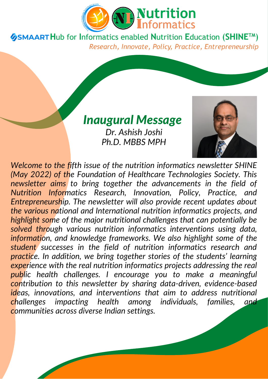

### *Inaugural Message*

*Dr. Ashish Joshi Ph.D. MBBS MPH*



*Welcome to the fifth issue of the nutrition informatics newsletter SHINE (May 2022) of the Foundation of Healthcare Technologies Society. This newsletter aims to bring together the advancements in the field of Nutrition Informatics Research, Innovation, Policy, Practice, and Entrepreneurship. The newsletter will also provide recent updates about the various national and International nutrition informatics projects, and highlight some of the major nutritional challenges that can potentially be solved through various nutrition informatics interventions using data, information, and knowledge frameworks. We also highlight some of the student successes in the field of nutrition informatics research and practice. In addition, we bring together stories of the students' learning experience with the real nutrition informatics projects addressing the real public health challenges. I encourage you to make a meaningful contribution to this newsletter by sharing data-driven, evidence-based ideas, innovations, and interventions that aim to address nutritional challenges impacting health among individuals, families, and communities across diverse Indian settings.*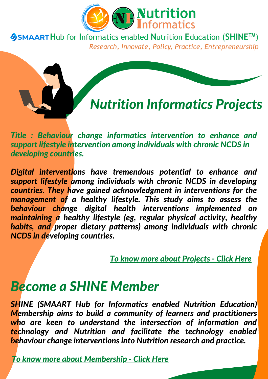



*Title : Behaviour change informatics intervention to enhance and support lifestyle intervention among individuals with chronic NCDS in developing countries.*

*Digital interventions have tremendous potential to enhance and support lifestyle among individuals with chronic NCDS in developing countries. They have gained acknowledgment in interventions for the management of a healthy lifestyle. This study aims to assess the behaviour change digital health interventions implemented on maintaining a healthy lifestyle (eg, regular physical activity, healthy habits, and proper dietary patterns) among individuals with chronic NCDS in developing countries.*

*To know more about [Projects](https://nutritioninformatics.info/ni-projects/) - Click Here*

## *Become a SHINE Member*

*SHINE (SMAART Hub for Informatics enabled Nutrition Education) Membership aims to build a community of learners and practitioners who are keen to understand the intersection of information and technology and Nutrition and facilitate the technology enabled behaviour change interventions into Nutrition research and practice.*

*To know more about [Membership](https://nutritioninformatics.info/membership/) - Click Here*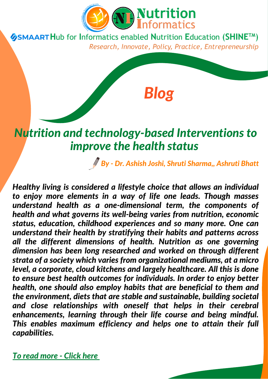

## *Nutrition and technology-based Interventions to improve the health status*

*By - Dr. Ashish Joshi, Shruti Sharma,, Ashruti Bhatt*

*Blog*

*Healthy living is considered a lifestyle choice that allows an individual to enjoy more elements in a way of life one leads. Though masses understand health as a one-dimensional term, the components of health and what governs its well-being varies from nutrition, economic status, education, childhood experiences and so many more. One can understand their health by stratifying their habits and patterns across all the different dimensions of health. Nutrition as one governing dimension has been long researched and worked on through different strata of a society which varies from organizational mediums, at a micro level, a corporate, cloud kitchens and largely healthcare. All this is done to ensure best health outcomes for individuals. In order to enjoy better health, one should also employ habits that are beneficial to them and the environment, diets that are stable and sustainable, building societal and close relationships with oneself that helps in their cerebral enhancements, learning through their life course and being mindful. This enables maximum efficiency and helps one to attain their full capabilities.*

*To read [more](https://nutritioninformatics.info/nutrition-and-technology-based-interventions-to-improve-the-health-status/) - Click her[e](https://nutritioninformatics.info/nutrition-and-technology-based-interventions-to-improve-the-health-status/)*